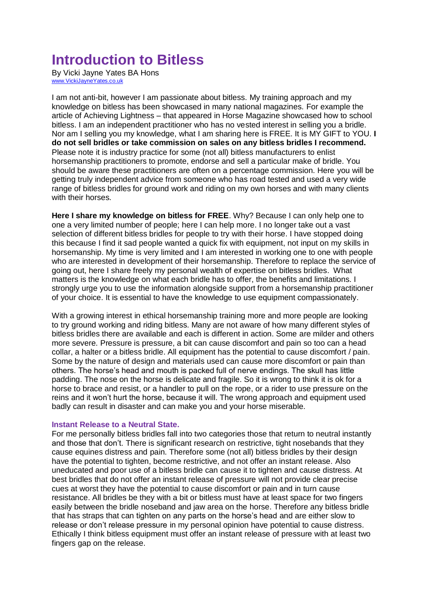# **Introduction to Bitless**

By Vicki Jayne Yates BA Hons [www.VickiJayneYates.co.uk](http://www.vickijayneyates.co.uk/)

I am not anti-bit, however I am passionate about bitless. My training approach and my knowledge on bitless has been showcased in many national magazines. For example the article of Achieving Lightness – that appeared in Horse Magazine showcased how to school bitless. I am an independent practitioner who has no vested interest in selling you a bridle. Nor am I selling you my knowledge, what I am sharing here is FREE. It is MY GIFT to YOU. **I do not sell bridles or take commission on sales on any bitless bridles I recommend.** Please note it is industry practice for some (not all) bitless manufacturers to enlist horsemanship practitioners to promote, endorse and sell a particular make of bridle. You should be aware these practitioners are often on a percentage commission. Here you will be getting truly independent advice from someone who has road tested and used a very wide range of bitless bridles for ground work and riding on my own horses and with many clients with their horses.

**Here I share my knowledge on bitless for FREE**. Why? Because I can only help one to one a very limited number of people; here I can help more. I no longer take out a vast selection of different bitless bridles for people to try with their horse. I have stopped doing this because I find it sad people wanted a quick fix with equipment, not input on my skills in horsemanship. My time is very limited and I am interested in working one to one with people who are interested in development of their horsemanship. Therefore to replace the service of going out, here I share freely my personal wealth of expertise on bitless bridles. What matters is the knowledge on what each bridle has to offer, the benefits and limitations. I strongly urge you to use the information alongside support from a horsemanship practitioner of your choice. It is essential to have the knowledge to use equipment compassionately.

With a growing interest in ethical horsemanship training more and more people are looking to try ground working and riding bitless. Many are not aware of how many different styles of bitless bridles there are available and each is different in action. Some are milder and others more severe. Pressure is pressure, a bit can cause discomfort and pain so too can a head collar, a halter or a bitless bridle. All equipment has the potential to cause discomfort / pain. Some by the nature of design and materials used can cause more discomfort or pain than others. The horse's head and mouth is packed full of nerve endings. The skull has little padding. The nose on the horse is delicate and fragile. So it is wrong to think it is ok for a horse to brace and resist, or a handler to pull on the rope, or a rider to use pressure on the reins and it won't hurt the horse, because it will. The wrong approach and equipment used badly can result in disaster and can make you and your horse miserable.

#### **Instant Release to a Neutral State.**

For me personally bitless bridles fall into two categories those that return to neutral instantly and those that don't. There is significant research on restrictive, tight nosebands that they cause equines distress and pain. Therefore some (not all) bitless bridles by their design have the potential to tighten, become restrictive, and not offer an instant release. Also uneducated and poor use of a bitless bridle can cause it to tighten and cause distress. At best bridles that do not offer an instant release of pressure will not provide clear precise cues at worst they have the potential to cause discomfort or pain and in turn cause resistance. All bridles be they with a bit or bitless must have at least space for two fingers easily between the bridle noseband and jaw area on the horse. Therefore any bitless bridle that has straps that can tighten on any parts on the horse's head and are either slow to release or don't release pressure in my personal opinion have potential to cause distress. Ethically I think bitless equipment must offer an instant release of pressure with at least two fingers gap on the release.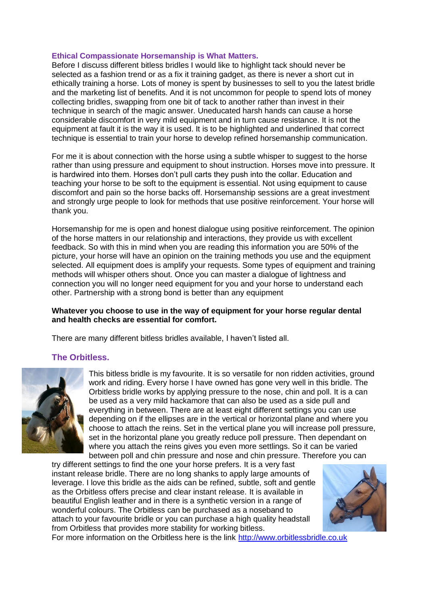#### **Ethical Compassionate Horsemanship is What Matters.**

Before I discuss different bitless bridles I would like to highlight tack should never be selected as a fashion trend or as a fix it training gadget, as there is never a short cut in ethically training a horse. Lots of money is spent by businesses to sell to you the latest bridle and the marketing list of benefits. And it is not uncommon for people to spend lots of money collecting bridles, swapping from one bit of tack to another rather than invest in their technique in search of the magic answer. Uneducated harsh hands can cause a horse considerable discomfort in very mild equipment and in turn cause resistance. It is not the equipment at fault it is the way it is used. It is to be highlighted and underlined that correct technique is essential to train your horse to develop refined horsemanship communication.

For me it is about connection with the horse using a subtle whisper to suggest to the horse rather than using pressure and equipment to shout instruction. Horses move into pressure. It is hardwired into them. Horses don't pull carts they push into the collar. Education and teaching your horse to be soft to the equipment is essential. Not using equipment to cause discomfort and pain so the horse backs off. Horsemanship sessions are a great investment and strongly urge people to look for methods that use positive reinforcement. Your horse will thank you.

Horsemanship for me is open and honest dialogue using positive reinforcement. The opinion of the horse matters in our relationship and interactions, they provide us with excellent feedback. So with this in mind when you are reading this information you are 50% of the picture, your horse will have an opinion on the training methods you use and the equipment selected. All equipment does is amplify your requests. Some types of equipment and training methods will whisper others shout. Once you can master a dialogue of lightness and connection you will no longer need equipment for you and your horse to understand each other. Partnership with a strong bond is better than any equipment

#### **Whatever you choose to use in the way of equipment for your horse regular dental and health checks are essential for comfort.**

There are many different bitless bridles available, I haven't listed all.

## **The Orbitless.**



This bitless bridle is my favourite. It is so versatile for non ridden activities, ground work and riding. Every horse I have owned has gone very well in this bridle. The Orbitless bridle works by applying pressure to the nose, chin and poll. It is a can be used as a very mild hackamore that can also be used as a side pull and everything in between. There are at least eight different settings you can use depending on if the ellipses are in the vertical or horizontal plane and where you choose to attach the reins. Set in the vertical plane you will increase poll pressure, set in the horizontal plane you greatly reduce poll pressure. Then dependant on where you attach the reins gives you even more settlings. So it can be varied between poll and chin pressure and nose and chin pressure. Therefore you can

try different settings to find the one your horse prefers. It is a very fast instant release bridle. There are no long shanks to apply large amounts of leverage. I love this bridle as the aids can be refined, subtle, soft and gentle as the Orbitless offers precise and clear instant release. It is available in beautiful English leather and in there is a synthetic version in a range of wonderful colours. The Orbitless can be purchased as a noseband to attach to your favourite bridle or you can purchase a high quality headstall from Orbitless that provides more stability for working bitless.



For more information on the Orbitless here is the link [http://www.orbitlessbridle.co.uk](http://www.orbitlessbridle.co.uk/)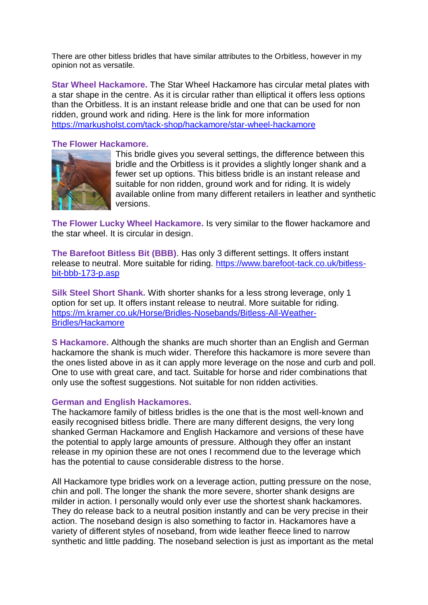There are other bitless bridles that have similar attributes to the Orbitless, however in my opinion not as versatile.

**Star Wheel Hackamore.** The Star Wheel Hackamore has circular metal plates with a star shape in the centre. As it is circular rather than elliptical it offers less options than the Orbitless. It is an instant release bridle and one that can be used for non ridden, ground work and riding. Here is the link for more information <https://markusholst.com/tack-shop/hackamore/star-wheel-hackamore>

## **The Flower Hackamore.**



This bridle gives you several settings, the difference between this bridle and the Orbitless is it provides a slightly longer shank and a fewer set up options. This bitless bridle is an instant release and suitable for non ridden, ground work and for riding. It is widely available online from many different retailers in leather and synthetic versions.

**The Flower Lucky Wheel Hackamore.** Is very similar to the flower hackamore and the star wheel. It is circular in design.

**The Barefoot Bitless Bit (BBB)**. Has only 3 different settings. It offers instant release to neutral. More suitable for riding. [https://www.barefoot-tack.co.uk/bitless](https://www.barefoot-tack.co.uk/bitless-bit-bbb-173-p.asp)[bit-bbb-173-p.asp](https://www.barefoot-tack.co.uk/bitless-bit-bbb-173-p.asp)

**Silk Steel Short Shank.** With shorter shanks for a less strong leverage, only 1 option for set up. It offers instant release to neutral. More suitable for riding. [https://m.kramer.co.uk/Horse/Bridles-Nosebands/Bitless-All-Weather-](https://m.kramer.co.uk/Horse/Bridles-Nosebands/Bitless-All-Weather-Bridles/Hackamore)[Bridles/Hackamore](https://m.kramer.co.uk/Horse/Bridles-Nosebands/Bitless-All-Weather-Bridles/Hackamore) 

**S Hackamore.** Although the shanks are much shorter than an English and German hackamore the shank is much wider. Therefore this hackamore is more severe than the ones listed above in as it can apply more leverage on the nose and curb and poll. One to use with great care, and tact. Suitable for horse and rider combinations that only use the softest suggestions. Not suitable for non ridden activities.

## **German and English Hackamores.**

The hackamore family of bitless bridles is the one that is the most well-known and easily recognised bitless bridle. There are many different designs, the very long shanked German Hackamore and English Hackamore and versions of these have the potential to apply large amounts of pressure. Although they offer an instant release in my opinion these are not ones I recommend due to the leverage which has the potential to cause considerable distress to the horse.

All Hackamore type bridles work on a leverage action, putting pressure on the nose, chin and poll. The longer the shank the more severe, shorter shank designs are milder in action. I personally would only ever use the shortest shank hackamores. They do release back to a neutral position instantly and can be very precise in their action. The noseband design is also something to factor in. Hackamores have a variety of different styles of noseband, from wide leather fleece lined to narrow synthetic and little padding. The noseband selection is just as important as the metal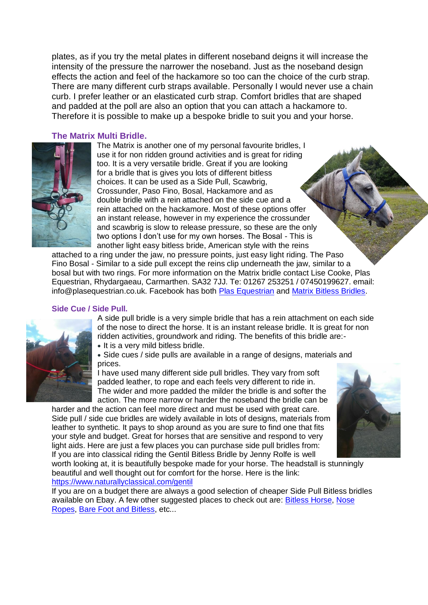plates, as if you try the metal plates in different noseband deigns it will increase the intensity of the pressure the narrower the noseband. Just as the noseband design effects the action and feel of the hackamore so too can the choice of the curb strap. There are many different curb straps available. Personally I would never use a chain curb. I prefer leather or an elasticated curb strap. Comfort bridles that are shaped and padded at the poll are also an option that you can attach a hackamore to. Therefore it is possible to make up a bespoke bridle to suit you and your horse.

## **The Matrix Multi Bridle.**



The Matrix is another one of my personal favourite bridles, I use it for non ridden ground activities and is great for riding too. It is a very versatile bridle. Great if you are looking for a bridle that is gives you lots of different bitless choices. It can be used as a Side Pull, Scawbrig, Crossunder, Paso Fino, Bosal, Hackamore and as double bridle with a rein attached on the side cue and a rein attached on the hackamore. Most of these options offer an instant release, however in my experience the crossunder and scawbrig is slow to release pressure, so these are the only two options I don't use for my own horses. The Bosal - This is another light easy bitless bride, American style with the reins

attached to a ring under the jaw, no pressure points, just easy light riding. The Paso Fino Bosal - Similar to a side pull except the reins clip underneath the jaw, similar to a bosal but with two rings. For more information on the Matrix bridle contact Lise Cooke, Plas Equestrian, Rhydargaeau, Carmarthen. SA32 7JJ. Te: 01267 253251 / 07450199627. email: info@plasequestrian.co.uk. Facebook has both [Plas Equestrian](https://www.facebook.com/plasequestrian/?fref=ts) and [Matrix Bitless Bridles.](https://www.facebook.com/matrixbitlessbridles/?fref=ts)

## **Side Cue / Side Pull.**



A side pull bridle is a very simple bridle that has a rein attachment on each side of the nose to direct the horse. It is an instant release bridle. It is great for non ridden activities, groundwork and riding. The benefits of this bridle are:-

• It is a very mild bitless bridle.

 Side cues / side pulls are available in a range of designs, materials and prices.

I have used many different side pull bridles. They vary from soft padded leather, to rope and each feels very different to ride in. The wider and more padded the milder the bridle is and softer the action. The more narrow or harder the noseband the bridle can be

harder and the action can feel more direct and must be used with great care. Side pull / side cue bridles are widely available in lots of designs, materials from leather to synthetic. It pays to shop around as you are sure to find one that fits your style and budget. Great for horses that are sensitive and respond to very light aids. Here are just a few places you can purchase side pull bridles from: If you are into classical riding the Gentil Bitless Bridle by Jenny Rolfe is well



worth looking at, it is beautifully bespoke made for your horse. The headstall is stunningly beautiful and well thought out for comfort for the horse. Here is the link: <https://www.naturallyclassical.com/gentil>

If you are on a budget there are always a good selection of cheaper Side Pull Bitless bridles available on Ebay. A few other suggested places to check out are: [Bitless Horse,](http://www.bitlesshorse.co.uk/) [Nose](http://www.noseropes.co.uk/)  [Ropes,](http://www.noseropes.co.uk/) [Bare Foot and Bitless,](http://www.bitlessandbarefoot.com/) etc...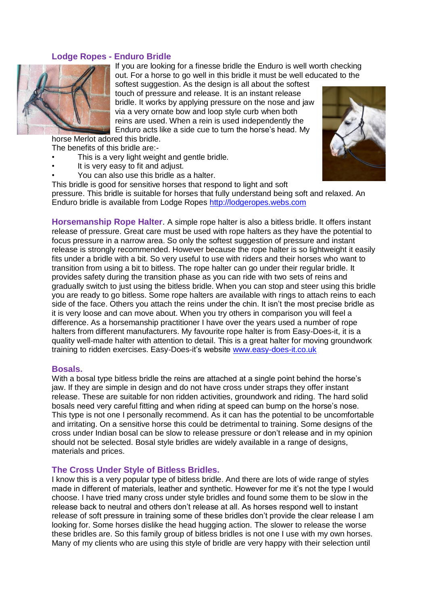## **Lodge Ropes - Enduro Bridle**



If you are looking for a finesse bridle the Enduro is well worth checking out. For a horse to go well in this bridle it must be well educated to the

softest suggestion. As the design is all about the softest touch of pressure and release. It is an instant release bridle. It works by applying pressure on the nose and jaw via a very ornate bow and loop style curb when both reins are used. When a rein is used independently the Enduro acts like a side cue to turn the horse's head. My

horse Merlot adored this bridle.

The benefits of this bridle are:-

- This is a very light weight and gentle bridle.
- It is very easy to fit and adjust.
- You can also use this bridle as a halter.
- This bridle is good for sensitive horses that respond to light and soft

pressure. This bridle is suitable for horses that fully understand being soft and relaxed. An Enduro bridle is available from Lodge Ropes [http://lodgeropes.webs.com](http://lodgeropes.webs.com/)

**Horsemanship Rope Halter**. A simple rope halter is also a bitless bridle. It offers instant release of pressure. Great care must be used with rope halters as they have the potential to focus pressure in a narrow area. So only the softest suggestion of pressure and instant release is strongly recommended. However because the rope halter is so lightweight it easily fits under a bridle with a bit. So very useful to use with riders and their horses who want to transition from using a bit to bitless. The rope halter can go under their regular bridle. It provides safety during the transition phase as you can ride with two sets of reins and gradually switch to just using the bitless bridle. When you can stop and steer using this bridle you are ready to go bitless. Some rope halters are available with rings to attach reins to each side of the face. Others you attach the reins under the chin. It isn't the most precise bridle as it is very loose and can move about. When you try others in comparison you will feel a difference. As a horsemanship practitioner I have over the years used a number of rope halters from different manufacturers. My favourite rope halter is from Easy-Does-it, it is a quality well-made halter with attention to detail. This is a great halter for moving groundwork training to ridden exercises. Easy-Does-it's website [www.easy-does-it.co.uk](http://www.easy-does-it.co.uk/)

#### **Bosals.**

With a bosal type bitless bridle the reins are attached at a single point behind the horse's jaw. If they are simple in design and do not have cross under straps they offer instant release. These are suitable for non ridden activities, groundwork and riding. The hard solid bosals need very careful fitting and when riding at speed can bump on the horse's nose. This type is not one I personally recommend. As it can has the potential to be uncomfortable and irritating. On a sensitive horse this could be detrimental to training. Some designs of the cross under Indian bosal can be slow to release pressure or don't release and in my opinion should not be selected. Bosal style bridles are widely available in a range of designs, materials and prices.

#### **The Cross Under Style of Bitless Bridles.**

I know this is a very popular type of bitless bridle. And there are lots of wide range of styles made in different of materials, leather and synthetic. However for me it's not the type I would choose. I have tried many cross under style bridles and found some them to be slow in the release back to neutral and others don't release at all. As horses respond well to instant release of soft pressure in training some of these bridles don't provide the clear release I am looking for. Some horses dislike the head hugging action. The slower to release the worse these bridles are. So this family group of bitless bridles is not one I use with my own horses. Many of my clients who are using this style of bridle are very happy with their selection until